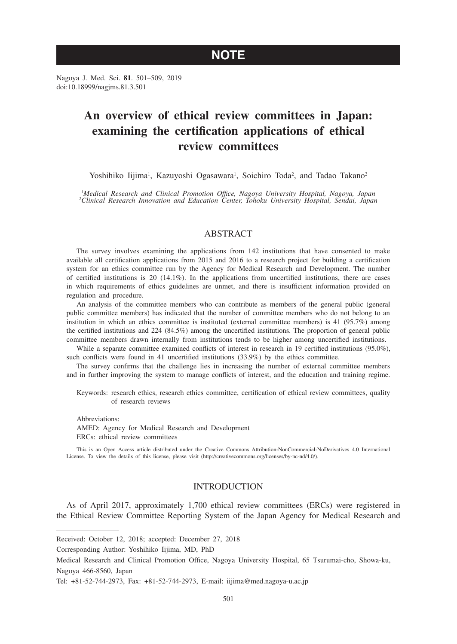# **NOTE**

Nagoya J. Med. Sci. **81**. 501–509, 2019 doi:10.18999/nagjms.81.3.501

# **An overview of ethical review committees in Japan: examining the certification applications of ethical review committees**

Yoshihiko Iijima<sup>1</sup>, Kazuyoshi Ogasawara<sup>1</sup>, Soichiro Toda<sup>2</sup>, and Tadao Takano<sup>2</sup>

*1 Medical Research and Clinical Promotion Office, Nagoya University Hospital, Nagoya, Japan 2 Clinical Research Innovation and Education Center, Tohoku University Hospital, Sendai, Japan*

# ABSTRACT

The survey involves examining the applications from 142 institutions that have consented to make available all certification applications from 2015 and 2016 to a research project for building a certification system for an ethics committee run by the Agency for Medical Research and Development. The number of certified institutions is 20 (14.1%). In the applications from uncertified institutions, there are cases in which requirements of ethics guidelines are unmet, and there is insufficient information provided on regulation and procedure.

An analysis of the committee members who can contribute as members of the general public (general public committee members) has indicated that the number of committee members who do not belong to an institution in which an ethics committee is instituted (external committee members) is 41 (95.7%) among the certified institutions and 224 (84.5%) among the uncertified institutions. The proportion of general public committee members drawn internally from institutions tends to be higher among uncertified institutions.

While a separate committee examined conflicts of interest in research in 19 certified institutions (95.0%), such conflicts were found in 41 uncertified institutions (33.9%) by the ethics committee.

The survey confirms that the challenge lies in increasing the number of external committee members and in further improving the system to manage conflicts of interest, and the education and training regime.

Keywords: research ethics, research ethics committee, certification of ethical review committees, quality of research reviews

Abbreviations: AMED: Agency for Medical Research and Development ERCs: ethical review committees

This is an Open Access article distributed under the Creative Commons Attribution-NonCommercial-NoDerivatives 4.0 International License. To view the details of this license, please visit (http://creativecommons.org/licenses/by-nc-nd/4.0/).

# INTRODUCTION

As of April 2017, approximately 1,700 ethical review committees (ERCs) were registered in the Ethical Review Committee Reporting System of the Japan Agency for Medical Research and

Received: October 12, 2018; accepted: December 27, 2018

Corresponding Author: Yoshihiko Iijima, MD, PhD

Medical Research and Clinical Promotion Office, Nagoya University Hospital, 65 Tsurumai-cho, Showa-ku, Nagoya 466-8560, Japan

Tel: +81-52-744-2973, Fax: +81-52-744-2973, E-mail: iijima@med.nagoya-u.ac.jp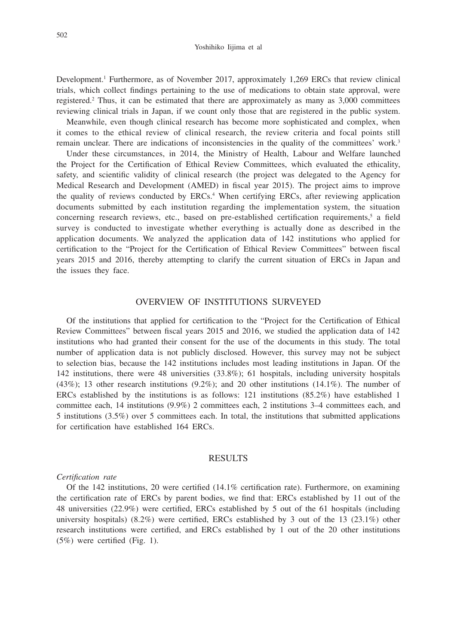Development.<sup>1</sup> Furthermore, as of November 2017, approximately 1,269 ERCs that review clinical trials, which collect findings pertaining to the use of medications to obtain state approval, were registered.2 Thus, it can be estimated that there are approximately as many as 3,000 committees reviewing clinical trials in Japan, if we count only those that are registered in the public system.

Meanwhile, even though clinical research has become more sophisticated and complex, when it comes to the ethical review of clinical research, the review criteria and focal points still remain unclear. There are indications of inconsistencies in the quality of the committees' work.<sup>3</sup>

Under these circumstances, in 2014, the Ministry of Health, Labour and Welfare launched the Project for the Certification of Ethical Review Committees, which evaluated the ethicality, safety, and scientific validity of clinical research (the project was delegated to the Agency for Medical Research and Development (AMED) in fiscal year 2015). The project aims to improve the quality of reviews conducted by ERCs.<sup>4</sup> When certifying ERCs, after reviewing application documents submitted by each institution regarding the implementation system, the situation concerning research reviews, etc., based on pre-established certification requirements,<sup>5</sup> a field survey is conducted to investigate whether everything is actually done as described in the application documents. We analyzed the application data of 142 institutions who applied for certification to the "Project for the Certification of Ethical Review Committees" between fiscal years 2015 and 2016, thereby attempting to clarify the current situation of ERCs in Japan and the issues they face.

# OVERVIEW OF INSTITUTIONS SURVEYED

Of the institutions that applied for certification to the "Project for the Certification of Ethical Review Committees" between fiscal years 2015 and 2016, we studied the application data of 142 institutions who had granted their consent for the use of the documents in this study. The total number of application data is not publicly disclosed. However, this survey may not be subject to selection bias, because the 142 institutions includes most leading institutions in Japan. Of the 142 institutions, there were 48 universities (33.8%); 61 hospitals, including university hospitals (43%); 13 other research institutions (9.2%); and 20 other institutions (14.1%). The number of ERCs established by the institutions is as follows: 121 institutions (85.2%) have established 1 committee each, 14 institutions (9.9%) 2 committees each, 2 institutions 3–4 committees each, and 5 institutions (3.5%) over 5 committees each. In total, the institutions that submitted applications for certification have established 164 ERCs.

## RESULTS

## *Certification rate*

Of the 142 institutions, 20 were certified (14.1% certification rate). Furthermore, on examining the certification rate of ERCs by parent bodies, we find that: ERCs established by 11 out of the 48 universities (22.9%) were certified, ERCs established by 5 out of the 61 hospitals (including university hospitals)  $(8.2\%)$  were certified, ERCs established by 3 out of the 13  $(23.1\%)$  other research institutions were certified, and ERCs established by 1 out of the 20 other institutions (5%) were certified (Fig. 1).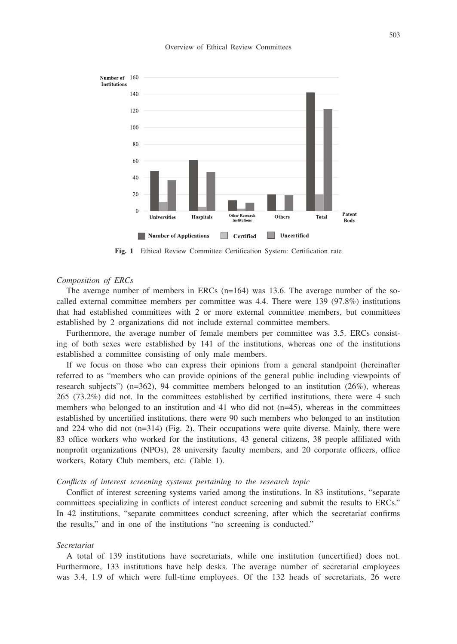

#### Overview of Ethical Review Committees

**Fig. 1** Ethical Review Committee Certification System: Certification rate

## *Composition of ERCs*

The average number of members in ERCs  $(n=164)$  was 13.6. The average number of the socalled external committee members per committee was 4.4. There were 139 (97.8%) institutions that had established committees with 2 or more external committee members, but committees established by 2 organizations did not include external committee members.

Furthermore, the average number of female members per committee was 3.5. ERCs consisting of both sexes were established by 141 of the institutions, whereas one of the institutions established a committee consisting of only male members.

If we focus on those who can express their opinions from a general standpoint (hereinafter referred to as "members who can provide opinions of the general public including viewpoints of research subjects") ( $n=362$ ), 94 committee members belonged to an institution ( $26\%$ ), whereas 265 (73.2%) did not. In the committees established by certified institutions, there were 4 such members who belonged to an institution and 41 who did not  $(n=45)$ , whereas in the committees established by uncertified institutions, there were 90 such members who belonged to an institution and 224 who did not  $(n=314)$  (Fig. 2). Their occupations were quite diverse. Mainly, there were 83 office workers who worked for the institutions, 43 general citizens, 38 people affiliated with nonprofit organizations (NPOs), 28 university faculty members, and 20 corporate officers, office workers, Rotary Club members, etc. (Table 1).

# *Conflicts of interest screening systems pertaining to the research topic*

Conflict of interest screening systems varied among the institutions. In 83 institutions, "separate committees specializing in conflicts of interest conduct screening and submit the results to ERCs." In 42 institutions, "separate committees conduct screening, after which the secretariat confirms the results," and in one of the institutions "no screening is conducted."

#### *Secretariat*

A total of 139 institutions have secretariats, while one institution (uncertified) does not. Furthermore, 133 institutions have help desks. The average number of secretarial employees was 3.4, 1.9 of which were full-time employees. Of the 132 heads of secretariats, 26 were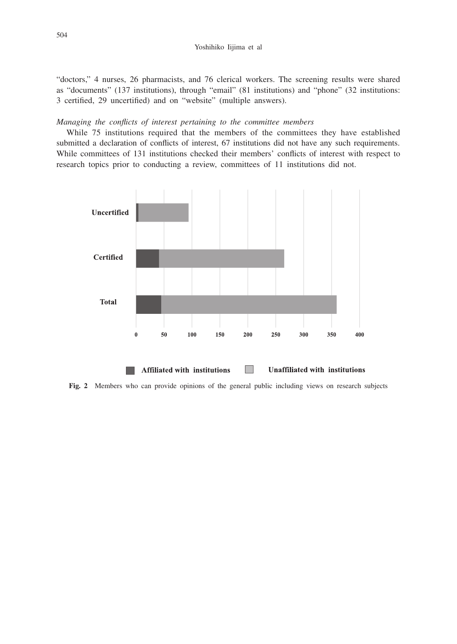"doctors," 4 nurses, 26 pharmacists, and 76 clerical workers. The screening results were shared as "documents" (137 institutions), through "email" (81 institutions) and "phone" (32 institutions: 3 certified, 29 uncertified) and on "website" (multiple answers).

## *Managing the conflicts of interest pertaining to the committee members*

While 75 institutions required that the members of the committees they have established submitted a declaration of conflicts of interest, 67 institutions did not have any such requirements. While committees of 131 institutions checked their members' conflicts of interest with respect to research topics prior to conducting a review, committees of 11 institutions did not.



**Fig. 2** Members who can provide opinions of the general public including views on research subjects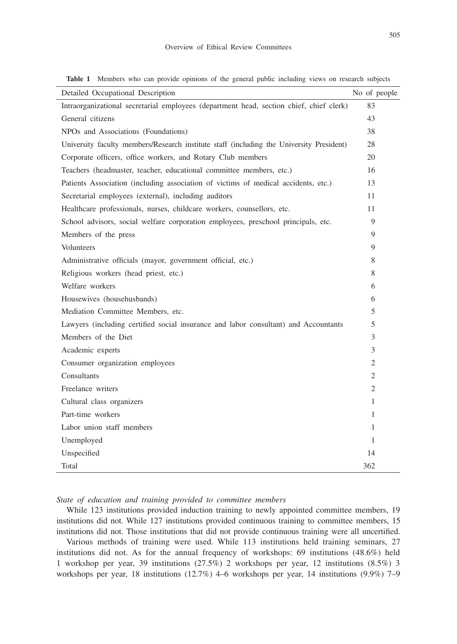| ×                |             | ×             |
|------------------|-------------|---------------|
|                  |             |               |
|                  | ł           |               |
| I<br>ł<br>$\sim$ | ×<br>I<br>× | I<br>ł<br>$-$ |

| Detailed Occupational Description                                                        | No of people   |
|------------------------------------------------------------------------------------------|----------------|
| Intraorganizational secretarial employees (department head, section chief, chief clerk)  |                |
| General citizens                                                                         |                |
| NPOs and Associations (Foundations)                                                      |                |
| University faculty members/Research institute staff (including the University President) |                |
| Corporate officers, office workers, and Rotary Club members                              |                |
| Teachers (headmaster, teacher, educational committee members, etc.)                      | 16             |
| Patients Association (including association of victims of medical accidents, etc.)       | 13             |
| Secretarial employees (external), including auditors                                     | 11             |
| Healthcare professionals, nurses, childcare workers, counsellors, etc.                   | 11             |
| School advisors, social welfare corporation employees, preschool principals, etc.        | 9              |
| Members of the press                                                                     | 9              |
| Volunteers                                                                               | 9              |
| Administrative officials (mayor, government official, etc.)                              | 8              |
| Religious workers (head priest, etc.)                                                    | 8              |
| Welfare workers                                                                          | 6              |
| Housewives (househusbands)                                                               | 6              |
| Mediation Committee Members, etc.                                                        | 5              |
| Lawyers (including certified social insurance and labor consultant) and Accountants      | 5              |
| Members of the Diet                                                                      | 3              |
| Academic experts                                                                         | 3              |
| Consumer organization employees                                                          | 2              |
| Consultants                                                                              | 2              |
| Freelance writers                                                                        | $\overline{2}$ |
| Cultural class organizers                                                                | 1              |
| Part-time workers                                                                        | 1              |
| Labor union staff members                                                                | 1              |
| Unemployed                                                                               | 1              |
| Unspecified                                                                              | 14             |
| Total                                                                                    | 362            |

**Table 1** Members who can provide opinions of the general public including views on research subjects

*State of education and training provided to committee members*

While 123 institutions provided induction training to newly appointed committee members, 19 institutions did not. While 127 institutions provided continuous training to committee members, 15 institutions did not. Those institutions that did not provide continuous training were all uncertified.

Various methods of training were used. While 113 institutions held training seminars, 27 institutions did not. As for the annual frequency of workshops:  $69$  institutions  $(48.6%)$  held 1 workshop per year, 39 institutions (27.5%) 2 workshops per year, 12 institutions (8.5%) 3 workshops per year, 18 institutions (12.7%) 4–6 workshops per year, 14 institutions (9.9%) 7–9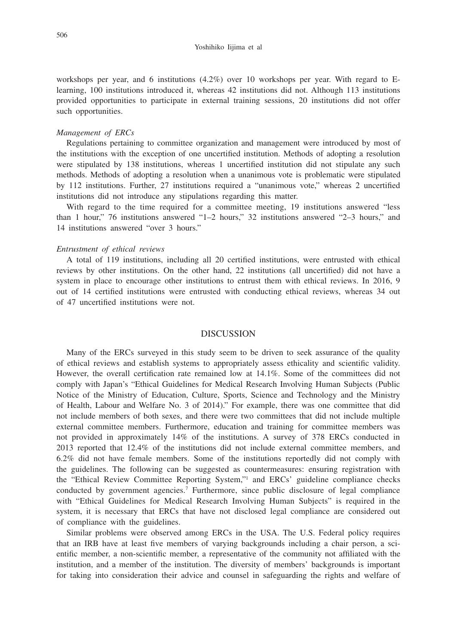workshops per year, and 6 institutions (4.2%) over 10 workshops per year. With regard to Elearning, 100 institutions introduced it, whereas 42 institutions did not. Although 113 institutions provided opportunities to participate in external training sessions, 20 institutions did not offer such opportunities.

## *Management of ERCs*

Regulations pertaining to committee organization and management were introduced by most of the institutions with the exception of one uncertified institution. Methods of adopting a resolution were stipulated by 138 institutions, whereas 1 uncertified institution did not stipulate any such methods. Methods of adopting a resolution when a unanimous vote is problematic were stipulated by 112 institutions. Further, 27 institutions required a "unanimous vote," whereas 2 uncertified institutions did not introduce any stipulations regarding this matter.

With regard to the time required for a committee meeting, 19 institutions answered "less than 1 hour," 76 institutions answered "1–2 hours," 32 institutions answered "2–3 hours," and 14 institutions answered "over 3 hours."

## *Entrustment of ethical reviews*

A total of 119 institutions, including all 20 certified institutions, were entrusted with ethical reviews by other institutions. On the other hand, 22 institutions (all uncertified) did not have a system in place to encourage other institutions to entrust them with ethical reviews. In 2016, 9 out of 14 certified institutions were entrusted with conducting ethical reviews, whereas 34 out of 47 uncertified institutions were not.

## DISCUSSION

Many of the ERCs surveyed in this study seem to be driven to seek assurance of the quality of ethical reviews and establish systems to appropriately assess ethicality and scientific validity. However, the overall certification rate remained low at 14.1%. Some of the committees did not comply with Japan's "Ethical Guidelines for Medical Research Involving Human Subjects (Public Notice of the Ministry of Education, Culture, Sports, Science and Technology and the Ministry of Health, Labour and Welfare No. 3 of 2014)." For example, there was one committee that did not include members of both sexes, and there were two committees that did not include multiple external committee members. Furthermore, education and training for committee members was not provided in approximately 14% of the institutions. A survey of 378 ERCs conducted in 2013 reported that 12.4% of the institutions did not include external committee members, and 6.2% did not have female members. Some of the institutions reportedly did not comply with the guidelines. The following can be suggested as countermeasures: ensuring registration with the "Ethical Review Committee Reporting System,"1 and ERCs' guideline compliance checks conducted by government agencies.7 Furthermore, since public disclosure of legal compliance with "Ethical Guidelines for Medical Research Involving Human Subjects" is required in the system, it is necessary that ERCs that have not disclosed legal compliance are considered out of compliance with the guidelines.

Similar problems were observed among ERCs in the USA. The U.S. Federal policy requires that an IRB have at least five members of varying backgrounds including a chair person, a scientific member, a non-scientific member, a representative of the community not affiliated with the institution, and a member of the institution. The diversity of members' backgrounds is important for taking into consideration their advice and counsel in safeguarding the rights and welfare of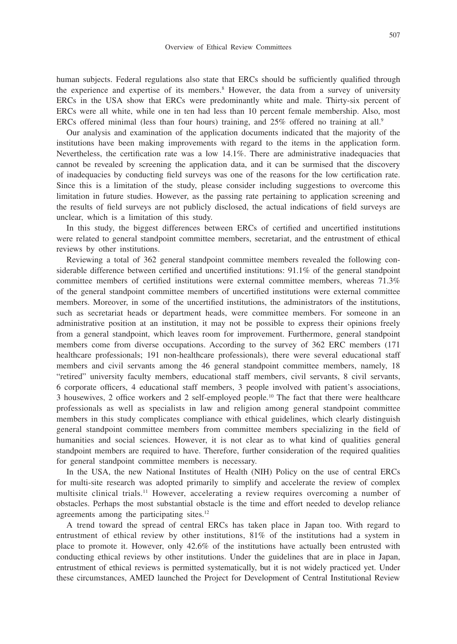human subjects. Federal regulations also state that ERCs should be sufficiently qualified through the experience and expertise of its members.<sup>8</sup> However, the data from a survey of university ERCs in the USA show that ERCs were predominantly white and male. Thirty-six percent of ERCs were all white, while one in ten had less than 10 percent female membership. Also, most ERCs offered minimal (less than four hours) training, and  $25\%$  offered no training at all.<sup>9</sup>

Our analysis and examination of the application documents indicated that the majority of the institutions have been making improvements with regard to the items in the application form. Nevertheless, the certification rate was a low 14.1%. There are administrative inadequacies that cannot be revealed by screening the application data, and it can be surmised that the discovery of inadequacies by conducting field surveys was one of the reasons for the low certification rate. Since this is a limitation of the study, please consider including suggestions to overcome this limitation in future studies. However, as the passing rate pertaining to application screening and the results of field surveys are not publicly disclosed, the actual indications of field surveys are unclear, which is a limitation of this study.

In this study, the biggest differences between ERCs of certified and uncertified institutions were related to general standpoint committee members, secretariat, and the entrustment of ethical reviews by other institutions.

Reviewing a total of 362 general standpoint committee members revealed the following considerable difference between certified and uncertified institutions: 91.1% of the general standpoint committee members of certified institutions were external committee members, whereas 71.3% of the general standpoint committee members of uncertified institutions were external committee members. Moreover, in some of the uncertified institutions, the administrators of the institutions, such as secretariat heads or department heads, were committee members. For someone in an administrative position at an institution, it may not be possible to express their opinions freely from a general standpoint, which leaves room for improvement. Furthermore, general standpoint members come from diverse occupations. According to the survey of 362 ERC members (171 healthcare professionals; 191 non-healthcare professionals), there were several educational staff members and civil servants among the 46 general standpoint committee members, namely, 18 "retired" university faculty members, educational staff members, civil servants, 8 civil servants, 6 corporate officers, 4 educational staff members, 3 people involved with patient's associations, 3 housewives, 2 office workers and 2 self-employed people.10 The fact that there were healthcare professionals as well as specialists in law and religion among general standpoint committee members in this study complicates compliance with ethical guidelines, which clearly distinguish general standpoint committee members from committee members specializing in the field of humanities and social sciences. However, it is not clear as to what kind of qualities general standpoint members are required to have. Therefore, further consideration of the required qualities for general standpoint committee members is necessary.

In the USA, the new National Institutes of Health (NIH) Policy on the use of central ERCs for multi-site research was adopted primarily to simplify and accelerate the review of complex multisite clinical trials.11 However, accelerating a review requires overcoming a number of obstacles. Perhaps the most substantial obstacle is the time and effort needed to develop reliance agreements among the participating sites.12

A trend toward the spread of central ERCs has taken place in Japan too. With regard to entrustment of ethical review by other institutions, 81% of the institutions had a system in place to promote it. However, only 42.6% of the institutions have actually been entrusted with conducting ethical reviews by other institutions. Under the guidelines that are in place in Japan, entrustment of ethical reviews is permitted systematically, but it is not widely practiced yet. Under these circumstances, AMED launched the Project for Development of Central Institutional Review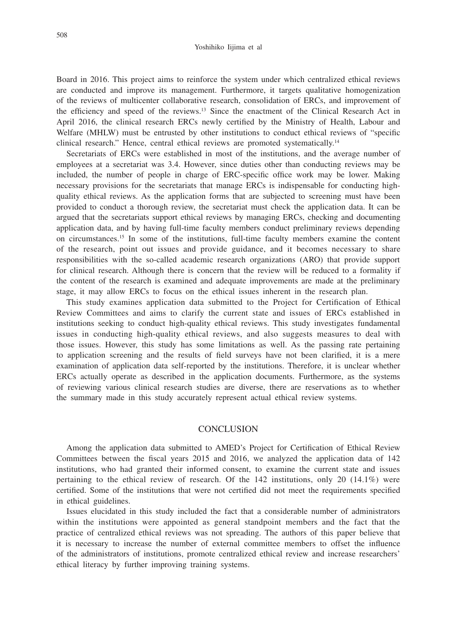Board in 2016. This project aims to reinforce the system under which centralized ethical reviews are conducted and improve its management. Furthermore, it targets qualitative homogenization of the reviews of multicenter collaborative research, consolidation of ERCs, and improvement of the efficiency and speed of the reviews.13 Since the enactment of the Clinical Research Act in April 2016, the clinical research ERCs newly certified by the Ministry of Health, Labour and Welfare (MHLW) must be entrusted by other institutions to conduct ethical reviews of "specific clinical research." Hence, central ethical reviews are promoted systematically.14

Secretariats of ERCs were established in most of the institutions, and the average number of employees at a secretariat was 3.4. However, since duties other than conducting reviews may be included, the number of people in charge of ERC-specific office work may be lower. Making necessary provisions for the secretariats that manage ERCs is indispensable for conducting highquality ethical reviews. As the application forms that are subjected to screening must have been provided to conduct a thorough review, the secretariat must check the application data. It can be argued that the secretariats support ethical reviews by managing ERCs, checking and documenting application data, and by having full-time faculty members conduct preliminary reviews depending on circumstances.15 In some of the institutions, full-time faculty members examine the content of the research, point out issues and provide guidance, and it becomes necessary to share responsibilities with the so-called academic research organizations (ARO) that provide support for clinical research. Although there is concern that the review will be reduced to a formality if the content of the research is examined and adequate improvements are made at the preliminary stage, it may allow ERCs to focus on the ethical issues inherent in the research plan.

This study examines application data submitted to the Project for Certification of Ethical Review Committees and aims to clarify the current state and issues of ERCs established in institutions seeking to conduct high-quality ethical reviews. This study investigates fundamental issues in conducting high-quality ethical reviews, and also suggests measures to deal with those issues. However, this study has some limitations as well. As the passing rate pertaining to application screening and the results of field surveys have not been clarified, it is a mere examination of application data self-reported by the institutions. Therefore, it is unclear whether ERCs actually operate as described in the application documents. Furthermore, as the systems of reviewing various clinical research studies are diverse, there are reservations as to whether the summary made in this study accurately represent actual ethical review systems.

## **CONCLUSION**

Among the application data submitted to AMED's Project for Certification of Ethical Review Committees between the fiscal years 2015 and 2016, we analyzed the application data of 142 institutions, who had granted their informed consent, to examine the current state and issues pertaining to the ethical review of research. Of the  $142$  institutions, only 20  $(14.1\%)$  were certified. Some of the institutions that were not certified did not meet the requirements specified in ethical guidelines.

Issues elucidated in this study included the fact that a considerable number of administrators within the institutions were appointed as general standpoint members and the fact that the practice of centralized ethical reviews was not spreading. The authors of this paper believe that it is necessary to increase the number of external committee members to offset the influence of the administrators of institutions, promote centralized ethical review and increase researchers' ethical literacy by further improving training systems.